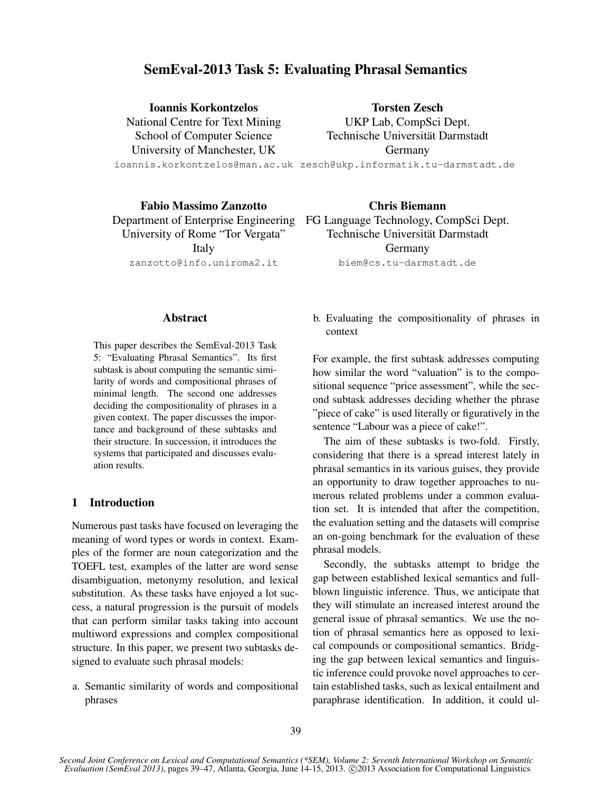# SemEval-2013 Task 5: Evaluating Phrasal Semantics

Ioannis Korkontzelos National Centre for Text Mining School of Computer Science University of Manchester, UK

Torsten Zesch UKP Lab, CompSci Dept. Technische Universität Darmstadt Germany

ioannis.korkontzelos@man.ac.uk zesch@ukp.informatik.tu-darmstadt.de

Fabio Massimo Zanzotto University of Rome "Tor Vergata" Italy zanzotto@info.uniroma2.it

Department of Enterprise Engineering FG Language Technology, CompSci Dept. Chris Biemann Technische Universität Darmstadt Germany biem@cs.tu-darmstadt.de

#### Abstract

This paper describes the SemEval-2013 Task 5: "Evaluating Phrasal Semantics". Its first subtask is about computing the semantic similarity of words and compositional phrases of minimal length. The second one addresses deciding the compositionality of phrases in a given context. The paper discusses the importance and background of these subtasks and their structure. In succession, it introduces the systems that participated and discusses evaluation results.

# 1 Introduction

Numerous past tasks have focused on leveraging the meaning of word types or words in context. Examples of the former are noun categorization and the TOEFL test, examples of the latter are word sense disambiguation, metonymy resolution, and lexical substitution. As these tasks have enjoyed a lot success, a natural progression is the pursuit of models that can perform similar tasks taking into account multiword expressions and complex compositional structure. In this paper, we present two subtasks designed to evaluate such phrasal models:

a. Semantic similarity of words and compositional phrases

b. Evaluating the compositionality of phrases in context

For example, the first subtask addresses computing how similar the word "valuation" is to the compositional sequence "price assessment", while the second subtask addresses deciding whether the phrase "piece of cake" is used literally or figuratively in the sentence "Labour was a piece of cake!".

The aim of these subtasks is two-fold. Firstly, considering that there is a spread interest lately in phrasal semantics in its various guises, they provide an opportunity to draw together approaches to numerous related problems under a common evaluation set. It is intended that after the competition, the evaluation setting and the datasets will comprise an on-going benchmark for the evaluation of these phrasal models.

Secondly, the subtasks attempt to bridge the gap between established lexical semantics and fullblown linguistic inference. Thus, we anticipate that they will stimulate an increased interest around the general issue of phrasal semantics. We use the notion of phrasal semantics here as opposed to lexical compounds or compositional semantics. Bridging the gap between lexical semantics and linguistic inference could provoke novel approaches to certain established tasks, such as lexical entailment and paraphrase identification. In addition, it could ul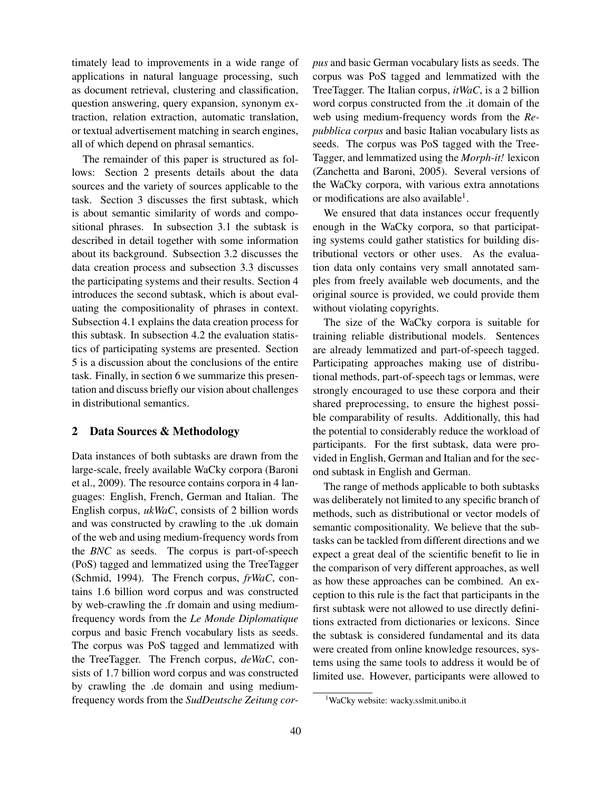timately lead to improvements in a wide range of applications in natural language processing, such as document retrieval, clustering and classification, question answering, query expansion, synonym extraction, relation extraction, automatic translation, or textual advertisement matching in search engines, all of which depend on phrasal semantics.

The remainder of this paper is structured as follows: Section 2 presents details about the data sources and the variety of sources applicable to the task. Section 3 discusses the first subtask, which is about semantic similarity of words and compositional phrases. In subsection 3.1 the subtask is described in detail together with some information about its background. Subsection 3.2 discusses the data creation process and subsection 3.3 discusses the participating systems and their results. Section 4 introduces the second subtask, which is about evaluating the compositionality of phrases in context. Subsection 4.1 explains the data creation process for this subtask. In subsection 4.2 the evaluation statistics of participating systems are presented. Section 5 is a discussion about the conclusions of the entire task. Finally, in section 6 we summarize this presentation and discuss briefly our vision about challenges in distributional semantics.

## 2 Data Sources & Methodology

Data instances of both subtasks are drawn from the large-scale, freely available WaCky corpora (Baroni et al., 2009). The resource contains corpora in 4 languages: English, French, German and Italian. The English corpus, *ukWaC*, consists of 2 billion words and was constructed by crawling to the .uk domain of the web and using medium-frequency words from the *BNC* as seeds. The corpus is part-of-speech (PoS) tagged and lemmatized using the TreeTagger (Schmid, 1994). The French corpus, *frWaC*, contains 1.6 billion word corpus and was constructed by web-crawling the .fr domain and using mediumfrequency words from the *Le Monde Diplomatique* corpus and basic French vocabulary lists as seeds. The corpus was PoS tagged and lemmatized with the TreeTagger. The French corpus, *deWaC*, consists of 1.7 billion word corpus and was constructed by crawling the .de domain and using mediumfrequency words from the *SudDeutsche Zeitung cor-* *pus* and basic German vocabulary lists as seeds. The corpus was PoS tagged and lemmatized with the TreeTagger. The Italian corpus, *itWaC*, is a 2 billion word corpus constructed from the .it domain of the web using medium-frequency words from the *Repubblica corpus* and basic Italian vocabulary lists as seeds. The corpus was PoS tagged with the Tree-Tagger, and lemmatized using the *Morph-it!* lexicon (Zanchetta and Baroni, 2005). Several versions of the WaCky corpora, with various extra annotations or modifications are also available<sup>1</sup>.

We ensured that data instances occur frequently enough in the WaCky corpora, so that participating systems could gather statistics for building distributional vectors or other uses. As the evaluation data only contains very small annotated samples from freely available web documents, and the original source is provided, we could provide them without violating copyrights.

The size of the WaCky corpora is suitable for training reliable distributional models. Sentences are already lemmatized and part-of-speech tagged. Participating approaches making use of distributional methods, part-of-speech tags or lemmas, were strongly encouraged to use these corpora and their shared preprocessing, to ensure the highest possible comparability of results. Additionally, this had the potential to considerably reduce the workload of participants. For the first subtask, data were provided in English, German and Italian and for the second subtask in English and German.

The range of methods applicable to both subtasks was deliberately not limited to any specific branch of methods, such as distributional or vector models of semantic compositionality. We believe that the subtasks can be tackled from different directions and we expect a great deal of the scientific benefit to lie in the comparison of very different approaches, as well as how these approaches can be combined. An exception to this rule is the fact that participants in the first subtask were not allowed to use directly definitions extracted from dictionaries or lexicons. Since the subtask is considered fundamental and its data were created from online knowledge resources, systems using the same tools to address it would be of limited use. However, participants were allowed to

<sup>1</sup>WaCky website: wacky.sslmit.unibo.it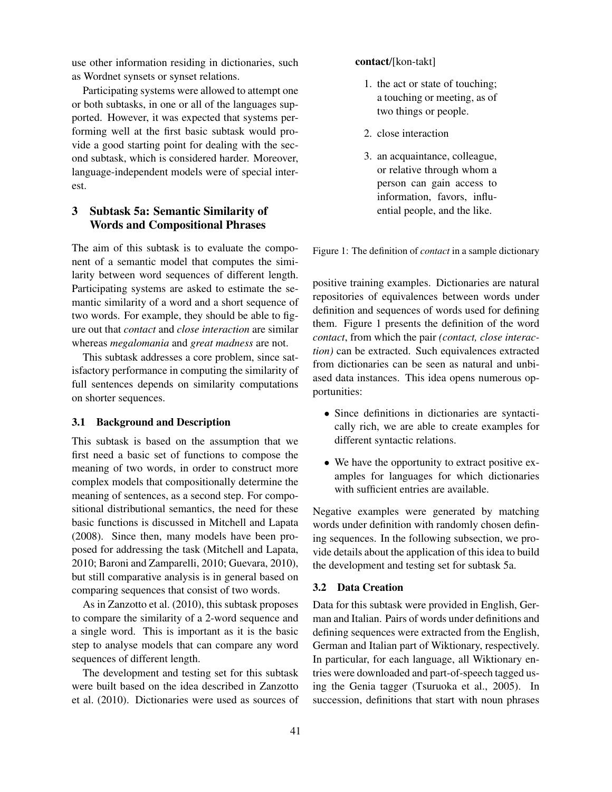use other information residing in dictionaries, such as Wordnet synsets or synset relations.

Participating systems were allowed to attempt one or both subtasks, in one or all of the languages supported. However, it was expected that systems performing well at the first basic subtask would provide a good starting point for dealing with the second subtask, which is considered harder. Moreover, language-independent models were of special interest.

# 3 Subtask 5a: Semantic Similarity of Words and Compositional Phrases

The aim of this subtask is to evaluate the component of a semantic model that computes the similarity between word sequences of different length. Participating systems are asked to estimate the semantic similarity of a word and a short sequence of two words. For example, they should be able to figure out that *contact* and *close interaction* are similar whereas *megalomania* and *great madness* are not.

This subtask addresses a core problem, since satisfactory performance in computing the similarity of full sentences depends on similarity computations on shorter sequences.

## 3.1 Background and Description

This subtask is based on the assumption that we first need a basic set of functions to compose the meaning of two words, in order to construct more complex models that compositionally determine the meaning of sentences, as a second step. For compositional distributional semantics, the need for these basic functions is discussed in Mitchell and Lapata (2008). Since then, many models have been proposed for addressing the task (Mitchell and Lapata, 2010; Baroni and Zamparelli, 2010; Guevara, 2010), but still comparative analysis is in general based on comparing sequences that consist of two words.

As in Zanzotto et al. (2010), this subtask proposes to compare the similarity of a 2-word sequence and a single word. This is important as it is the basic step to analyse models that can compare any word sequences of different length.

The development and testing set for this subtask were built based on the idea described in Zanzotto et al. (2010). Dictionaries were used as sources of

### contact/[kon-takt]

- 1. the act or state of touching; a touching or meeting, as of two things or people.
- 2. close interaction
- 3. an acquaintance, colleague, or relative through whom a person can gain access to information, favors, influential people, and the like.

Figure 1: The definition of *contact* in a sample dictionary

positive training examples. Dictionaries are natural repositories of equivalences between words under definition and sequences of words used for defining them. Figure 1 presents the definition of the word *contact*, from which the pair *(contact, close interaction)* can be extracted. Such equivalences extracted from dictionaries can be seen as natural and unbiased data instances. This idea opens numerous opportunities:

- Since definitions in dictionaries are syntactically rich, we are able to create examples for different syntactic relations.
- We have the opportunity to extract positive examples for languages for which dictionaries with sufficient entries are available.

Negative examples were generated by matching words under definition with randomly chosen defining sequences. In the following subsection, we provide details about the application of this idea to build the development and testing set for subtask 5a.

#### 3.2 Data Creation

Data for this subtask were provided in English, German and Italian. Pairs of words under definitions and defining sequences were extracted from the English, German and Italian part of Wiktionary, respectively. In particular, for each language, all Wiktionary entries were downloaded and part-of-speech tagged using the Genia tagger (Tsuruoka et al., 2005). In succession, definitions that start with noun phrases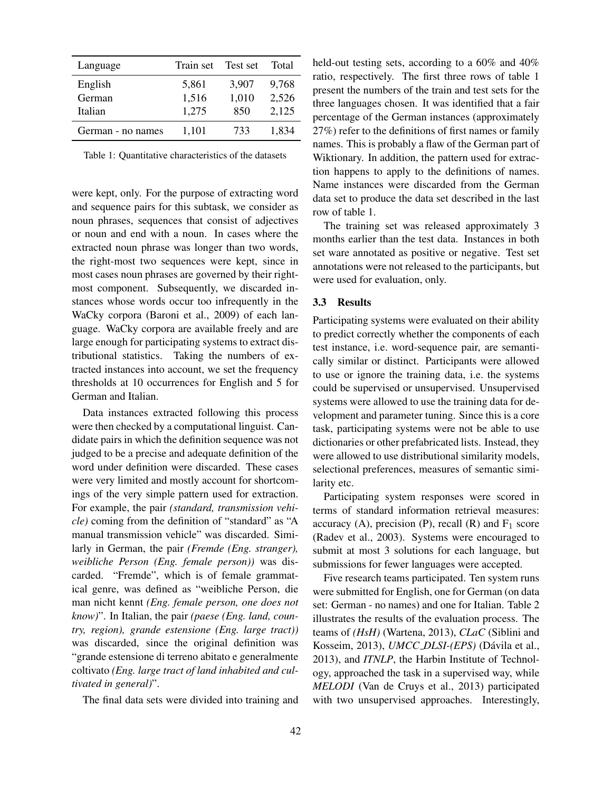| Language          | Train set | Test set | Total |
|-------------------|-----------|----------|-------|
| English           | 5,861     | 3,907    | 9,768 |
| German            | 1,516     | 1,010    | 2,526 |
| Italian           | 1,275     | 850      | 2,125 |
| German - no names | 1,101     | 733      | 1.834 |

Table 1: Quantitative characteristics of the datasets

were kept, only. For the purpose of extracting word and sequence pairs for this subtask, we consider as noun phrases, sequences that consist of adjectives or noun and end with a noun. In cases where the extracted noun phrase was longer than two words, the right-most two sequences were kept, since in most cases noun phrases are governed by their rightmost component. Subsequently, we discarded instances whose words occur too infrequently in the WaCky corpora (Baroni et al., 2009) of each language. WaCky corpora are available freely and are large enough for participating systems to extract distributional statistics. Taking the numbers of extracted instances into account, we set the frequency thresholds at 10 occurrences for English and 5 for German and Italian.

Data instances extracted following this process were then checked by a computational linguist. Candidate pairs in which the definition sequence was not judged to be a precise and adequate definition of the word under definition were discarded. These cases were very limited and mostly account for shortcomings of the very simple pattern used for extraction. For example, the pair *(standard, transmission vehicle)* coming from the definition of "standard" as "A manual transmission vehicle" was discarded. Similarly in German, the pair *(Fremde (Eng. stranger), weibliche Person (Eng. female person))* was discarded. "Fremde", which is of female grammatical genre, was defined as "weibliche Person, die man nicht kennt *(Eng. female person, one does not know)*". In Italian, the pair *(paese (Eng. land, country, region), grande estensione (Eng. large tract))* was discarded, since the original definition was "grande estensione di terreno abitato e generalmente coltivato *(Eng. large tract of land inhabited and cultivated in general)*".

The final data sets were divided into training and

held-out testing sets, according to a 60% and 40% ratio, respectively. The first three rows of table 1 present the numbers of the train and test sets for the three languages chosen. It was identified that a fair percentage of the German instances (approximately 27%) refer to the definitions of first names or family names. This is probably a flaw of the German part of Wiktionary. In addition, the pattern used for extraction happens to apply to the definitions of names. Name instances were discarded from the German data set to produce the data set described in the last row of table 1.

The training set was released approximately 3 months earlier than the test data. Instances in both set ware annotated as positive or negative. Test set annotations were not released to the participants, but were used for evaluation, only.

#### 3.3 Results

Participating systems were evaluated on their ability to predict correctly whether the components of each test instance, i.e. word-sequence pair, are semantically similar or distinct. Participants were allowed to use or ignore the training data, i.e. the systems could be supervised or unsupervised. Unsupervised systems were allowed to use the training data for development and parameter tuning. Since this is a core task, participating systems were not be able to use dictionaries or other prefabricated lists. Instead, they were allowed to use distributional similarity models, selectional preferences, measures of semantic similarity etc.

Participating system responses were scored in terms of standard information retrieval measures: accuracy (A), precision (P), recall  $(R)$  and  $F_1$  score (Radev et al., 2003). Systems were encouraged to submit at most 3 solutions for each language, but submissions for fewer languages were accepted.

Five research teams participated. Ten system runs were submitted for English, one for German (on data set: German - no names) and one for Italian. Table 2 illustrates the results of the evaluation process. The teams of *(HsH)* (Wartena, 2013), *CLaC* (Siblini and Kosseim, 2013), *UMCC\_DLSI-(EPS)* (Dávila et al., 2013), and *ITNLP*, the Harbin Institute of Technology, approached the task in a supervised way, while *MELODI* (Van de Cruys et al., 2013) participated with two unsupervised approaches. Interestingly,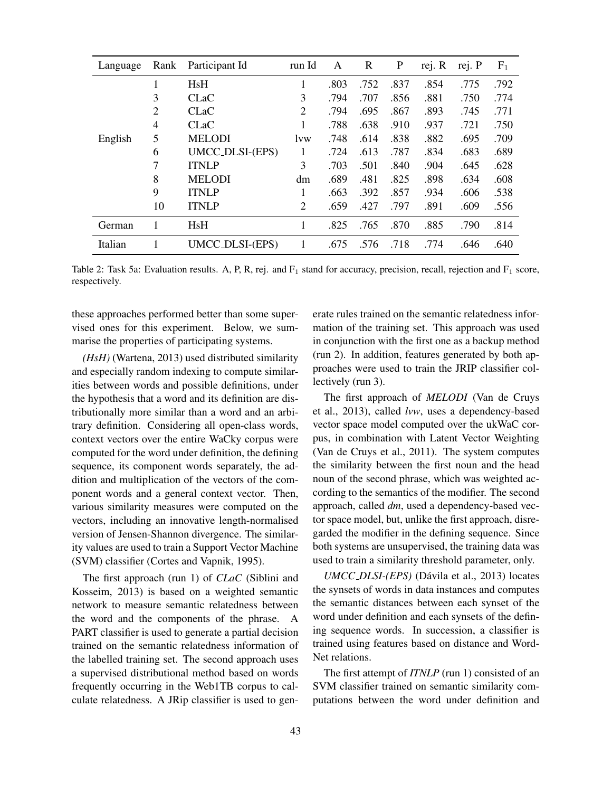| Language | Rank           | Participant Id  | run Id         | A    | $\mathbf R$ | $\mathbf P$ | rej. R | rej. P | F <sub>1</sub> |
|----------|----------------|-----------------|----------------|------|-------------|-------------|--------|--------|----------------|
|          | 1              | HsH             | 1              | .803 | .752        | .837        | .854   | .775   | .792           |
|          | 3              | <b>CLaC</b>     | 3              | .794 | .707        | .856        | .881   | .750   | .774           |
|          | $\overline{2}$ | <b>CLaC</b>     | $\overline{2}$ | .794 | .695        | .867        | .893   | .745   | .771           |
|          | 4              | <b>CLaC</b>     |                | .788 | .638        | .910        | .937   | .721   | .750           |
| English  | 5              | <b>MELODI</b>   | <i>lvw</i>     | .748 | .614        | .838        | .882   | .695   | .709           |
|          | 6              | UMCC_DLSI-(EPS) | 1              | .724 | .613        | .787        | .834   | .683   | .689           |
|          | 7              | <b>ITNLP</b>    | 3              | .703 | .501        | .840        | .904   | .645   | .628           |
|          | 8              | <b>MELODI</b>   | dm             | .689 | .481        | .825        | .898   | .634   | .608           |
|          | 9              | <b>ITNLP</b>    | 1              | .663 | .392        | .857        | .934   | .606   | .538           |
|          | 10             | <b>ITNLP</b>    | $\overline{2}$ | .659 | .427        | .797        | .891   | .609   | .556           |
| German   | 1              | <b>HsH</b>      | 1              | .825 | .765        | .870        | .885   | .790   | .814           |
| Italian  | 1              | UMCC_DLSI-(EPS) | 1              | .675 | .576        | .718        | .774   | .646   | .640           |

Table 2: Task 5a: Evaluation results. A, P, R, rej. and  $F_1$  stand for accuracy, precision, recall, rejection and  $F_1$  score, respectively.

these approaches performed better than some supervised ones for this experiment. Below, we summarise the properties of participating systems.

*(HsH)* (Wartena, 2013) used distributed similarity and especially random indexing to compute similarities between words and possible definitions, under the hypothesis that a word and its definition are distributionally more similar than a word and an arbitrary definition. Considering all open-class words, context vectors over the entire WaCky corpus were computed for the word under definition, the defining sequence, its component words separately, the addition and multiplication of the vectors of the component words and a general context vector. Then, various similarity measures were computed on the vectors, including an innovative length-normalised version of Jensen-Shannon divergence. The similarity values are used to train a Support Vector Machine (SVM) classifier (Cortes and Vapnik, 1995).

The first approach (run 1) of *CLaC* (Siblini and Kosseim, 2013) is based on a weighted semantic network to measure semantic relatedness between the word and the components of the phrase. A PART classifier is used to generate a partial decision trained on the semantic relatedness information of the labelled training set. The second approach uses a supervised distributional method based on words frequently occurring in the Web1TB corpus to calculate relatedness. A JRip classifier is used to generate rules trained on the semantic relatedness information of the training set. This approach was used in conjunction with the first one as a backup method (run 2). In addition, features generated by both approaches were used to train the JRIP classifier collectively (run 3).

The first approach of *MELODI* (Van de Cruys et al., 2013), called *lvw*, uses a dependency-based vector space model computed over the ukWaC corpus, in combination with Latent Vector Weighting (Van de Cruys et al., 2011). The system computes the similarity between the first noun and the head noun of the second phrase, which was weighted according to the semantics of the modifier. The second approach, called *dm*, used a dependency-based vector space model, but, unlike the first approach, disregarded the modifier in the defining sequence. Since both systems are unsupervised, the training data was used to train a similarity threshold parameter, only.

*UMCC\_DLSI-(EPS)* (Dávila et al., 2013) locates the synsets of words in data instances and computes the semantic distances between each synset of the word under definition and each synsets of the defining sequence words. In succession, a classifier is trained using features based on distance and Word-Net relations.

The first attempt of *ITNLP* (run 1) consisted of an SVM classifier trained on semantic similarity computations between the word under definition and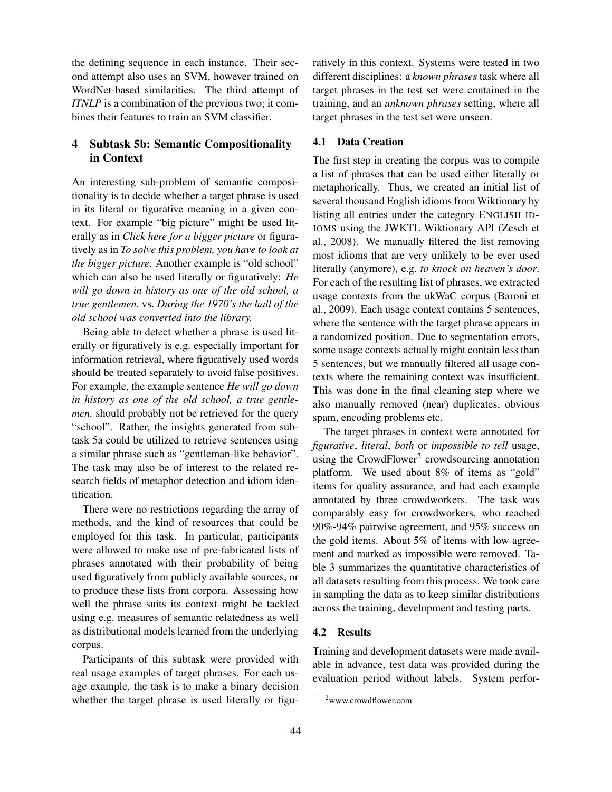the defining sequence in each instance. Their second attempt also uses an SVM, however trained on WordNet-based similarities. The third attempt of *ITNLP* is a combination of the previous two; it combines their features to train an SVM classifier.

# 4 Subtask 5b: Semantic Compositionality in Context

An interesting sub-problem of semantic compositionality is to decide whether a target phrase is used in its literal or figurative meaning in a given context. For example "big picture" might be used literally as in *Click here for a bigger picture* or figuratively as in *To solve this problem, you have to look at the bigger picture*. Another example is "old school" which can also be used literally or figuratively: *He will go down in history as one of the old school, a true gentlemen.* vs. *During the 1970's the hall of the old school was converted into the library.*

Being able to detect whether a phrase is used literally or figuratively is e.g. especially important for information retrieval, where figuratively used words should be treated separately to avoid false positives. For example, the example sentence *He will go down in history as one of the old school, a true gentlemen.* should probably not be retrieved for the query "school". Rather, the insights generated from subtask 5a could be utilized to retrieve sentences using a similar phrase such as "gentleman-like behavior". The task may also be of interest to the related research fields of metaphor detection and idiom identification.

There were no restrictions regarding the array of methods, and the kind of resources that could be employed for this task. In particular, participants were allowed to make use of pre-fabricated lists of phrases annotated with their probability of being used figuratively from publicly available sources, or to produce these lists from corpora. Assessing how well the phrase suits its context might be tackled using e.g. measures of semantic relatedness as well as distributional models learned from the underlying corpus.

Participants of this subtask were provided with real usage examples of target phrases. For each usage example, the task is to make a binary decision whether the target phrase is used literally or figuratively in this context. Systems were tested in two different disciplines: a *known phrases* task where all target phrases in the test set were contained in the training, and an *unknown phrases* setting, where all target phrases in the test set were unseen.

## 4.1 Data Creation

The first step in creating the corpus was to compile a list of phrases that can be used either literally or metaphorically. Thus, we created an initial list of several thousand English idioms from Wiktionary by listing all entries under the category ENGLISH ID-IOMS using the JWKTL Wiktionary API (Zesch et al., 2008). We manually filtered the list removing most idioms that are very unlikely to be ever used literally (anymore), e.g. *to knock on heaven's door*. For each of the resulting list of phrases, we extracted usage contexts from the ukWaC corpus (Baroni et al., 2009). Each usage context contains 5 sentences, where the sentence with the target phrase appears in a randomized position. Due to segmentation errors, some usage contexts actually might contain less than 5 sentences, but we manually filtered all usage contexts where the remaining context was insufficient. This was done in the final cleaning step where we also manually removed (near) duplicates, obvious spam, encoding problems etc.

The target phrases in context were annotated for *figurative*, *literal*, *both* or *impossible to tell* usage, using the CrowdFlower<sup>2</sup> crowdsourcing annotation platform. We used about 8% of items as "gold" items for quality assurance, and had each example annotated by three crowdworkers. The task was comparably easy for crowdworkers, who reached 90%-94% pairwise agreement, and 95% success on the gold items. About 5% of items with low agreement and marked as impossible were removed. Table 3 summarizes the quantitative characteristics of all datasets resulting from this process. We took care in sampling the data as to keep similar distributions across the training, development and testing parts.

#### 4.2 Results

Training and development datasets were made available in advance, test data was provided during the evaluation period without labels. System perfor-

<sup>2</sup>www.crowdflower.com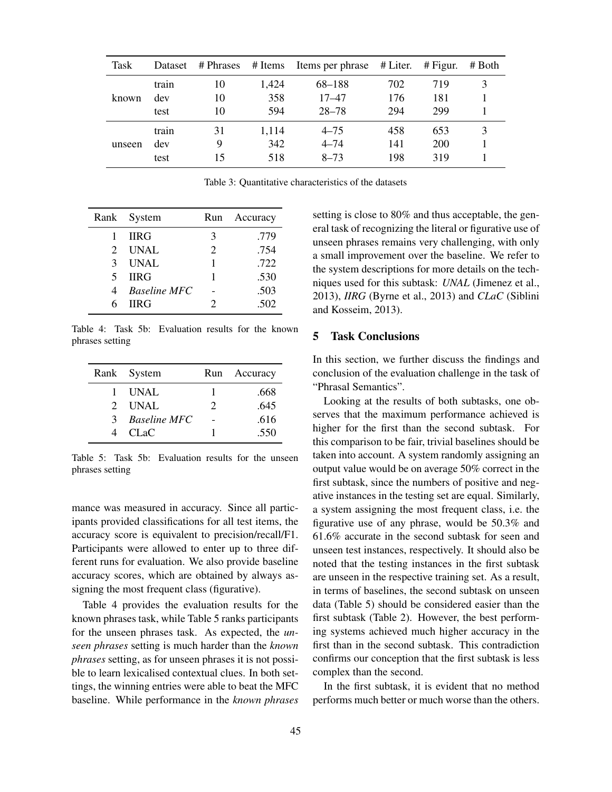| Task   | Dataset | # Phrases # Items |       | Items per phrase # Liter. |     | $#$ Figur. | # Both |
|--------|---------|-------------------|-------|---------------------------|-----|------------|--------|
|        | train   | 10                | 1.424 | 68–188                    | 702 | 719        | 3      |
| known  | dev     | 10                | 358   | $17 - 47$                 | 176 | 181        |        |
|        | test    | 10                | 594   | $28 - 78$                 | 294 | 299        |        |
|        | train   | 31                | 1.114 | $4 - 75$                  | 458 | 653        | 3      |
| unseen | dev     | Q                 | 342   | $4 - 74$                  | 141 | 200        |        |
|        | test    | 15                | 518   | $8 - 73$                  | 198 | 319        |        |

Table 3: Quantitative characteristics of the datasets

|               | Rank System    | Run                   | Accuracy |
|---------------|----------------|-----------------------|----------|
|               | <b>IIRG</b>    | 3                     | .779     |
|               | 2 UNAL         | $\mathcal{D}_{\cdot}$ | .754     |
|               | 3 UNAL         |                       | .722     |
| $\mathcal{F}$ | <b>IIRG</b>    |                       | .530     |
|               | 4 Baseline MFC |                       | .503     |
| 6             | <b>HRG</b>     | 2                     | .502     |

Table 4: Task 5b: Evaluation results for the known phrases setting

| Rank System    | Run                         | Accuracy |
|----------------|-----------------------------|----------|
| 1 UNAL         |                             | .668     |
| $2$ UNAL       | $\mathcal{D}_{\mathcal{A}}$ | .645     |
| 3 Baseline MFC |                             | .616     |
| 4 CLaC         |                             | .550     |

Table 5: Task 5b: Evaluation results for the unseen phrases setting

mance was measured in accuracy. Since all participants provided classifications for all test items, the accuracy score is equivalent to precision/recall/F1. Participants were allowed to enter up to three different runs for evaluation. We also provide baseline accuracy scores, which are obtained by always assigning the most frequent class (figurative).

Table 4 provides the evaluation results for the known phrases task, while Table 5 ranks participants for the unseen phrases task. As expected, the *unseen phrases* setting is much harder than the *known phrases* setting, as for unseen phrases it is not possible to learn lexicalised contextual clues. In both settings, the winning entries were able to beat the MFC baseline. While performance in the *known phrases* setting is close to 80% and thus acceptable, the general task of recognizing the literal or figurative use of unseen phrases remains very challenging, with only a small improvement over the baseline. We refer to the system descriptions for more details on the techniques used for this subtask: *UNAL* (Jimenez et al., 2013), *IIRG* (Byrne et al., 2013) and *CLaC* (Siblini and Kosseim, 2013).

## 5 Task Conclusions

In this section, we further discuss the findings and conclusion of the evaluation challenge in the task of "Phrasal Semantics".

Looking at the results of both subtasks, one observes that the maximum performance achieved is higher for the first than the second subtask. For this comparison to be fair, trivial baselines should be taken into account. A system randomly assigning an output value would be on average 50% correct in the first subtask, since the numbers of positive and negative instances in the testing set are equal. Similarly, a system assigning the most frequent class, i.e. the figurative use of any phrase, would be 50.3% and 61.6% accurate in the second subtask for seen and unseen test instances, respectively. It should also be noted that the testing instances in the first subtask are unseen in the respective training set. As a result, in terms of baselines, the second subtask on unseen data (Table 5) should be considered easier than the first subtask (Table 2). However, the best performing systems achieved much higher accuracy in the first than in the second subtask. This contradiction confirms our conception that the first subtask is less complex than the second.

In the first subtask, it is evident that no method performs much better or much worse than the others.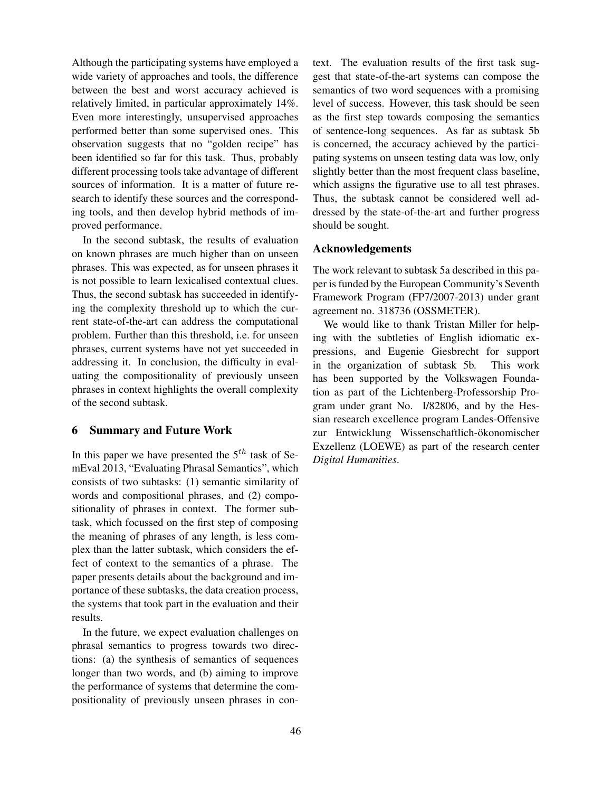Although the participating systems have employed a wide variety of approaches and tools, the difference between the best and worst accuracy achieved is relatively limited, in particular approximately 14%. Even more interestingly, unsupervised approaches performed better than some supervised ones. This observation suggests that no "golden recipe" has been identified so far for this task. Thus, probably different processing tools take advantage of different sources of information. It is a matter of future research to identify these sources and the corresponding tools, and then develop hybrid methods of improved performance.

In the second subtask, the results of evaluation on known phrases are much higher than on unseen phrases. This was expected, as for unseen phrases it is not possible to learn lexicalised contextual clues. Thus, the second subtask has succeeded in identifying the complexity threshold up to which the current state-of-the-art can address the computational problem. Further than this threshold, i.e. for unseen phrases, current systems have not yet succeeded in addressing it. In conclusion, the difficulty in evaluating the compositionality of previously unseen phrases in context highlights the overall complexity of the second subtask.

## 6 Summary and Future Work

In this paper we have presented the  $5<sup>th</sup>$  task of SemEval 2013, "Evaluating Phrasal Semantics", which consists of two subtasks: (1) semantic similarity of words and compositional phrases, and (2) compositionality of phrases in context. The former subtask, which focussed on the first step of composing the meaning of phrases of any length, is less complex than the latter subtask, which considers the effect of context to the semantics of a phrase. The paper presents details about the background and importance of these subtasks, the data creation process, the systems that took part in the evaluation and their results.

In the future, we expect evaluation challenges on phrasal semantics to progress towards two directions: (a) the synthesis of semantics of sequences longer than two words, and (b) aiming to improve the performance of systems that determine the compositionality of previously unseen phrases in context. The evaluation results of the first task suggest that state-of-the-art systems can compose the semantics of two word sequences with a promising level of success. However, this task should be seen as the first step towards composing the semantics of sentence-long sequences. As far as subtask 5b is concerned, the accuracy achieved by the participating systems on unseen testing data was low, only slightly better than the most frequent class baseline, which assigns the figurative use to all test phrases. Thus, the subtask cannot be considered well addressed by the state-of-the-art and further progress should be sought.

# Acknowledgements

The work relevant to subtask 5a described in this paper is funded by the European Community's Seventh Framework Program (FP7/2007-2013) under grant agreement no. 318736 (OSSMETER).

We would like to thank Tristan Miller for helping with the subtleties of English idiomatic expressions, and Eugenie Giesbrecht for support in the organization of subtask 5b. This work has been supported by the Volkswagen Foundation as part of the Lichtenberg-Professorship Program under grant No. I/82806, and by the Hessian research excellence program Landes-Offensive zur Entwicklung Wissenschaftlich-ökonomischer Exzellenz (LOEWE) as part of the research center *Digital Humanities*.